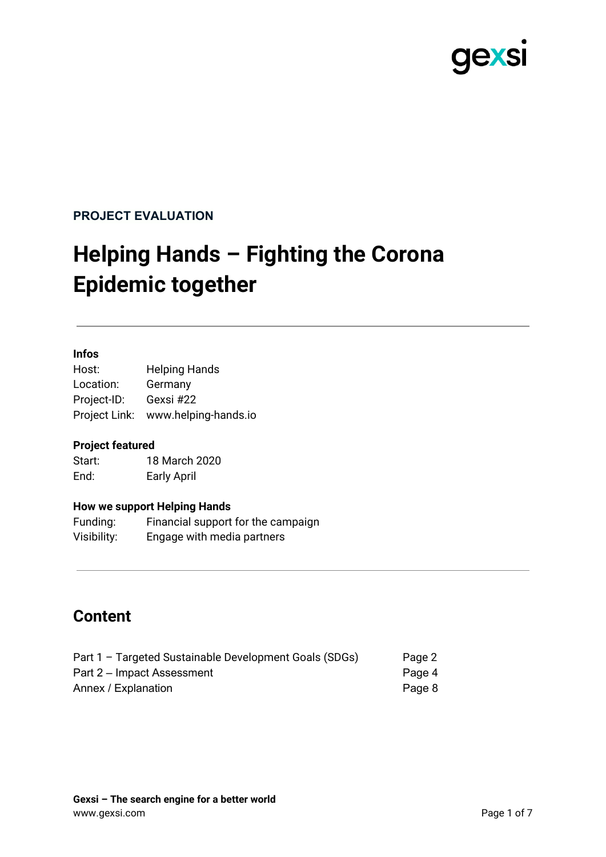

#### **PROJECT EVALUATION**

# **Helping Hands – Fighting the Corona Epidemic together**

#### **Infos**

Host: Helping Hands Location: Germany Project-ID: Gexsi #22 Project Link: www.helping-hands.io

#### **Project featured**

Start: 18 March 2020 End: Early April

#### **How we support Helping Hands**

Funding: Financial support for the campaign Visibility: Engage with media partners

### **Content**

| Part 1 - Targeted Sustainable Development Goals (SDGs) | Page 2 |
|--------------------------------------------------------|--------|
| Part 2 – Impact Assessment                             | Page 4 |
| Annex / Explanation                                    | Page 8 |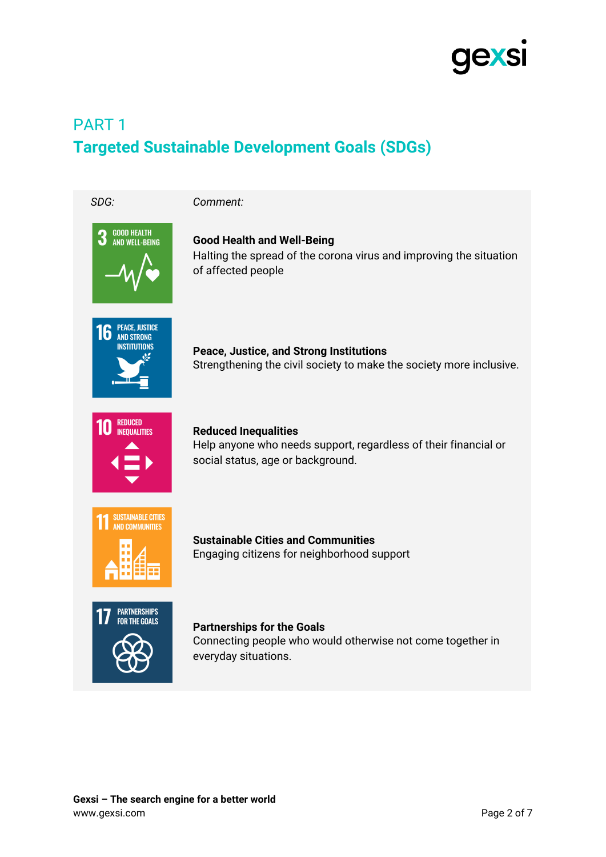

## PART 1 **Targeted Sustainable Development Goals (SDGs)**

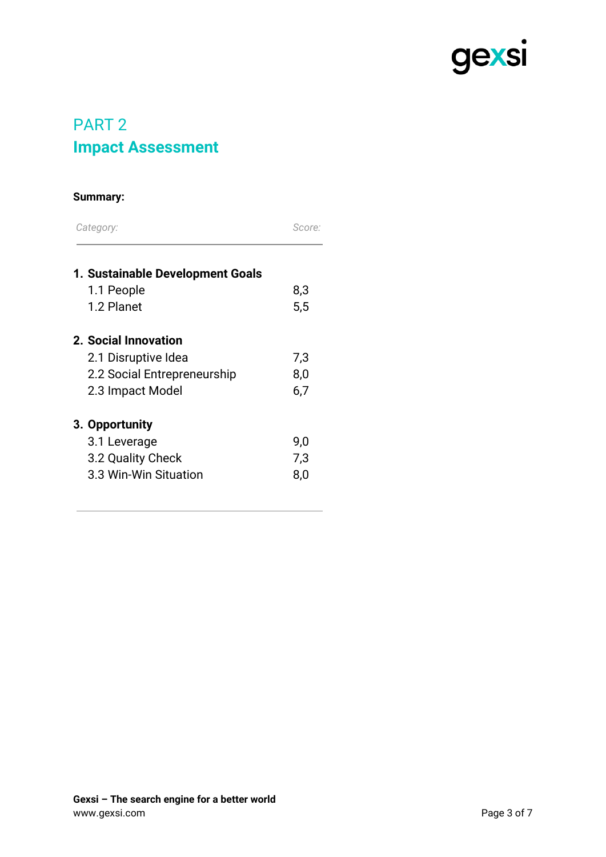

## PART 2 **Impact Assessment**

#### **Summary:**

| Category:                        | Score: |
|----------------------------------|--------|
| 1. Sustainable Development Goals |        |
| 1.1 People                       | 8,3    |
| 1.2 Planet                       | 5,5    |
| 2. Social Innovation             |        |
| 2.1 Disruptive Idea              | 7,3    |
| 2.2 Social Entrepreneurship      | 8,0    |
| 2.3 Impact Model                 | 6,7    |
| 3. Opportunity                   |        |
| 3.1 Leverage                     | 9,0    |
| 3.2 Quality Check                | 7,3    |
| 3.3 Win-Win Situation            | 8,0    |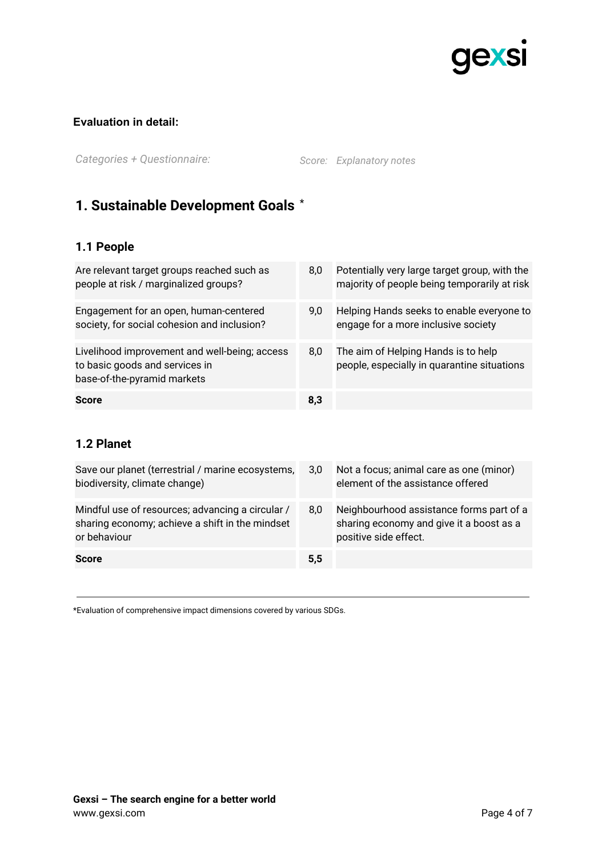

#### **Evaluation in detail:**

*Categories + Questionnaire: Score: Explanatory notes*

### **1. Sustainable Development Goals** \*

#### **1.1 People**

| Are relevant target groups reached such as<br>people at risk / marginalized groups?                            | 8,0 | Potentially very large target group, with the<br>majority of people being temporarily at risk |
|----------------------------------------------------------------------------------------------------------------|-----|-----------------------------------------------------------------------------------------------|
| Engagement for an open, human-centered<br>society, for social cohesion and inclusion?                          | 9.0 | Helping Hands seeks to enable everyone to<br>engage for a more inclusive society              |
| Livelihood improvement and well-being; access<br>to basic goods and services in<br>base-of-the-pyramid markets | 8,0 | The aim of Helping Hands is to help<br>people, especially in quarantine situations            |
| <b>Score</b>                                                                                                   | 8,3 |                                                                                               |

#### **1.2 Planet**

| Save our planet (terrestrial / marine ecosystems,<br>biodiversity, climate change)                                  | 3,0 | Not a focus; animal care as one (minor)<br>element of the assistance offered                                  |
|---------------------------------------------------------------------------------------------------------------------|-----|---------------------------------------------------------------------------------------------------------------|
| Mindful use of resources; advancing a circular /<br>sharing economy; achieve a shift in the mindset<br>or behaviour | 8.0 | Neighbourhood assistance forms part of a<br>sharing economy and give it a boost as a<br>positive side effect. |
| <b>Score</b>                                                                                                        | 5,5 |                                                                                                               |

\*Evaluation of comprehensive impact dimensions covered by various SDGs.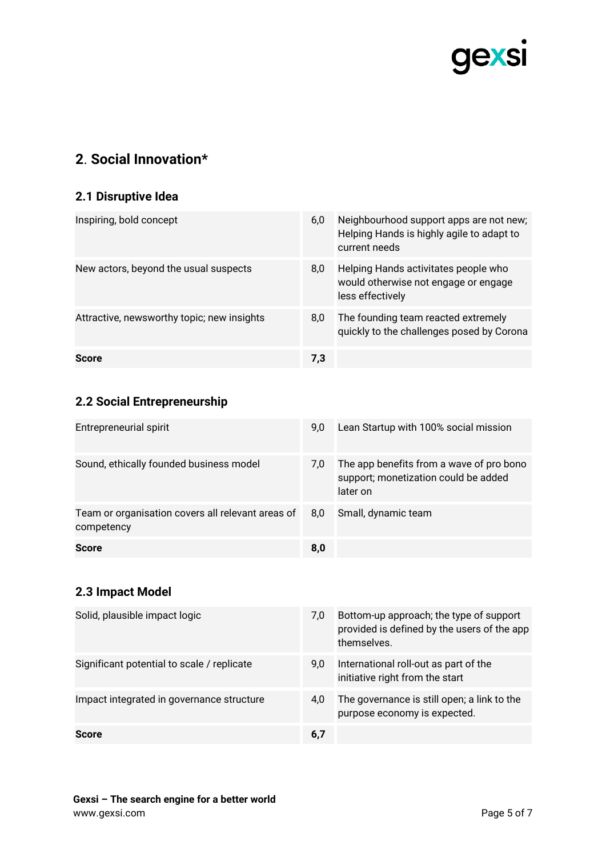

## **2**. **Social Innovation\***

#### **2.1 Disruptive Idea**

| Inspiring, bold concept                    | 6,0 | Neighbourhood support apps are not new;<br>Helping Hands is highly agile to adapt to<br>current needs |
|--------------------------------------------|-----|-------------------------------------------------------------------------------------------------------|
| New actors, beyond the usual suspects      | 8,0 | Helping Hands activitates people who<br>would otherwise not engage or engage<br>less effectively      |
| Attractive, newsworthy topic; new insights | 8,0 | The founding team reacted extremely<br>quickly to the challenges posed by Corona                      |
| <b>Score</b>                               | 7,3 |                                                                                                       |

#### **2.2 Social Entrepreneurship**

| Entrepreneurial spirit                                          | 9.0 | Lean Startup with 100% social mission                                                        |
|-----------------------------------------------------------------|-----|----------------------------------------------------------------------------------------------|
| Sound, ethically founded business model                         | 7.0 | The app benefits from a wave of pro bono<br>support; monetization could be added<br>later on |
| Team or organisation covers all relevant areas of<br>competency | 8,0 | Small, dynamic team                                                                          |
| <b>Score</b>                                                    | 8,0 |                                                                                              |

#### **2.3 Impact Model**

| Solid, plausible impact logic              | 7,0 | Bottom-up approach; the type of support<br>provided is defined by the users of the app<br>themselves. |
|--------------------------------------------|-----|-------------------------------------------------------------------------------------------------------|
| Significant potential to scale / replicate | 9,0 | International roll-out as part of the<br>initiative right from the start                              |
| Impact integrated in governance structure  | 4,0 | The governance is still open; a link to the<br>purpose economy is expected.                           |
| Score                                      | 6,7 |                                                                                                       |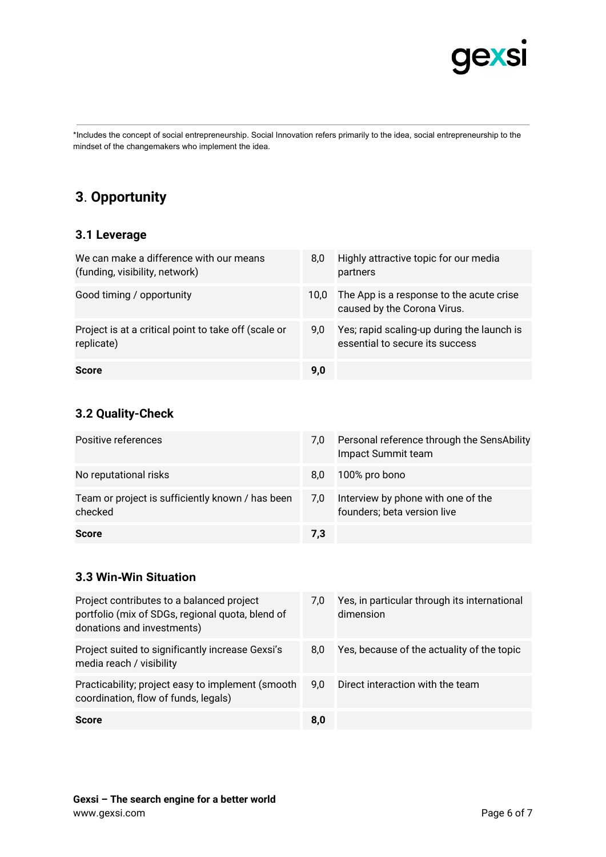

\*Includes the concept of social entrepreneurship. Social Innovation refers primarily to the idea, social entrepreneurship to the mindset of the changemakers who implement the idea.

### **3**. **Opportunity**

#### **3.1 Leverage**

| We can make a difference with our means<br>(funding, visibility, network) | 8.0  | Highly attractive topic for our media<br>partners                             |
|---------------------------------------------------------------------------|------|-------------------------------------------------------------------------------|
| Good timing / opportunity                                                 | 10.0 | The App is a response to the acute crise<br>caused by the Corona Virus.       |
| Project is at a critical point to take off (scale or<br>replicate)        | 9.0  | Yes; rapid scaling-up during the launch is<br>essential to secure its success |
| <b>Score</b>                                                              | 9,0  |                                                                               |

#### **3.2 Quality-Check**

| Positive references                                         | 7.0 | Personal reference through the SensAbility<br>Impact Summit team  |
|-------------------------------------------------------------|-----|-------------------------------------------------------------------|
| No reputational risks                                       | 8.0 | 100% pro bono                                                     |
| Team or project is sufficiently known / has been<br>checked | 7.0 | Interview by phone with one of the<br>founders; beta version live |
| <b>Score</b>                                                | 7.3 |                                                                   |

#### **3.3 Win-Win Situation**

| Project contributes to a balanced project<br>portfolio (mix of SDGs, regional quota, blend of<br>donations and investments) | 7.0 | Yes, in particular through its international<br>dimension |
|-----------------------------------------------------------------------------------------------------------------------------|-----|-----------------------------------------------------------|
| Project suited to significantly increase Gexsi's<br>media reach / visibility                                                | 8.0 | Yes, because of the actuality of the topic                |
| Practicability; project easy to implement (smooth<br>coordination, flow of funds, legals)                                   | 9.0 | Direct interaction with the team                          |
| <b>Score</b>                                                                                                                | 8,0 |                                                           |